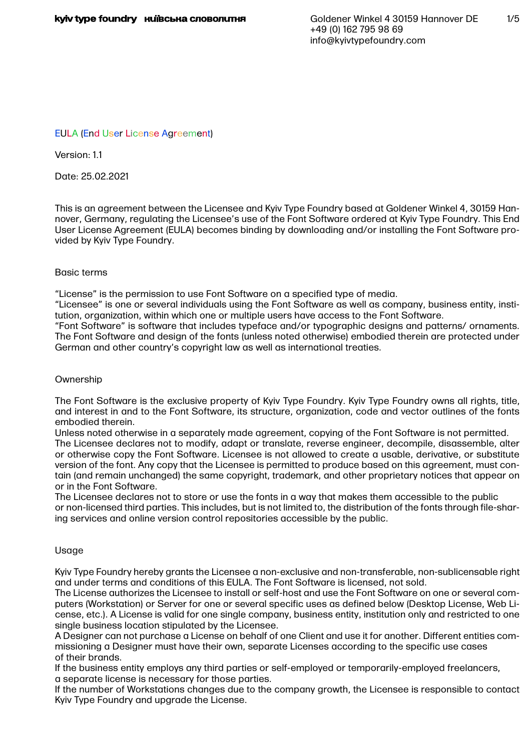# EULA (End User License Agreement)

Version: 1.1

Date: 25.02.2021

This is an agreement between the Licensee and Kyiv Type Foundry based at Goldener Winkel 4, 30159 Hannover, Germany, regulating the Licensee's use of the Font Software ordered at Kyiv Type Foundry. This End User License Agreement (EULA) becomes binding by downloading and/or installing the Font Software provided by Kyiv Type Foundry.

## Basic terms

"License" is the permission to use Font Software on a specified type of media.

"Licensee" is one or several individuals using the Font Software as well as company, business entity, institution, organization, within which one or multiple users have access to the Font Software.

"Font Software" is software that includes typeface and/or typographic designs and patterns/ ornaments. The Font Software and design of the fonts (unless noted otherwise) embodied therein are protected under German and other country's copyright law as well as international treaties.

## **Ownership**

The Font Software is the exclusive property of Kyiv Type Foundry. Kyiv Type Foundry owns all rights, title, and interest in and to the Font Software, its structure, organization, code and vector outlines of the fonts embodied therein.

Unless noted otherwise in a separately made agreement, copying of the Font Software is not permitted. The Licensee declares not to modify, adapt or translate, reverse engineer, decompile, disassemble, alter or otherwise copy the Font Software. Licensee is not allowed to create a usable, derivative, or substitute version of the font. Any copy that the Licensee is permitted to produce based on this agreement, must contain (and remain unchanged) the same copyright, trademark, and other proprietary notices that appear on or in the Font Software.

The Licensee declares not to store or use the fonts in a way that makes them accessible to the public or non-licensed third parties. This includes, but is not limited to, the distribution of the fonts through file-sharing services and online version control repositories accessible by the public.

# Usage

Kyiv Type Foundry hereby grants the Licensee a non-exclusive and non-transferable, non-sublicensable right and under terms and conditions of this EULA. The Font Software is licensed, not sold.

The License authorizes the Licensee to install or self-host and use the Font Software on one or several computers (Workstation) or Server for one or several specific uses as defined below (Desktop License, Web License, etc.). A License is valid for one single company, business entity, institution only and restricted to one single business location stipulated by the Licensee.

A Designer can not purchase a License on behalf of one Client and use it for another. Different entities commissioning a Designer must have their own, separate Licenses according to the specific use cases of their brands.

If the business entity employs any third parties or self-employed or temporarily-employed freelancers, a separate license is necessary for those parties.

If the number of Workstations changes due to the company growth, the Licensee is responsible to contact Kyiv Type Foundry and upgrade the License.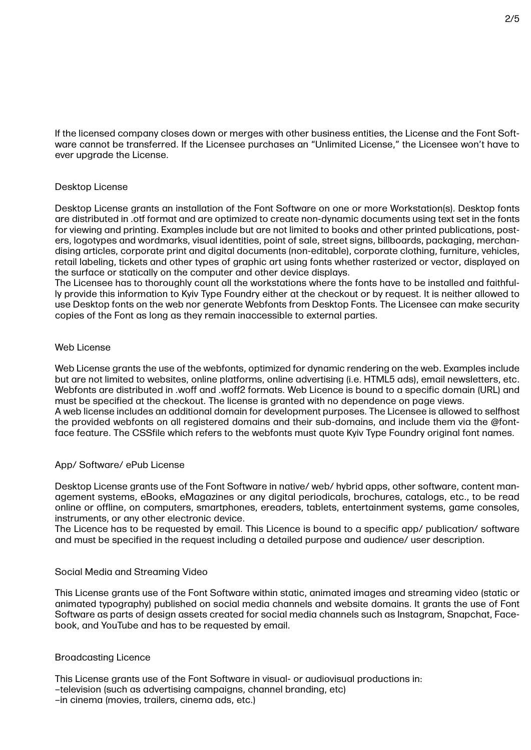If the licensed company closes down or merges with other business entities, the License and the Font Software cannot be transferred. If the Licensee purchases an "Unlimited License," the Licensee won't have to ever upgrade the License.

## Desktop License

Desktop License grants an installation of the Font Software on one or more Workstation(s). Desktop fonts are distributed in .otf format and are optimized to create non-dynamic documents using text set in the fonts for viewing and printing. Examples include but are not limited to books and other printed publications, posters, logotypes and wordmarks, visual identities, point of sale, street signs, billboards, packaging, merchandising articles, corporate print and digital documents (non-editable), corporate clothing, furniture, vehicles, retail labeling, tickets and other types of graphic art using fonts whether rasterized or vector, displayed on the surface or statically on the computer and other device displays.

The Licensee has to thoroughly count all the workstations where the fonts have to be installed and faithfully provide this information to Kyiv Type Foundry either at the checkout or by request. It is neither allowed to use Desktop fonts on the web nor generate Webfonts from Desktop Fonts. The Licensee can make security copies of the Font as long as they remain inaccessible to external parties.

## Web License

Web License grants the use of the webfonts, optimized for dynamic rendering on the web. Examples include but are not limited to websites, online platforms, online advertising (i.e. HTML5 ads), email newsletters, etc. Webfonts are distributed in .woff and .woff2 formats. Web Licence is bound to a specific domain (URL) and must be specified at the checkout. The license is granted with no dependence on page views. A web license includes an additional domain for development purposes. The Licensee is allowed to selfhost the provided webfonts on all registered domains and their sub-domains, and include them via the @fontface feature. The CSSfile which refers to the webfonts must quote Kyiv Type Foundry original font names.

# App/ Software/ ePub License

Desktop License grants use of the Font Software in native/ web/ hybrid apps, other software, content management systems, eBooks, eMagazines or any digital periodicals, brochures, catalogs, etc., to be read online or offline, on computers, smartphones, ereaders, tablets, entertainment systems, game consoles, instruments, or any other electronic device.

The Licence has to be requested by email. This Licence is bound to a specific app/ publication/ software and must be specified in the request including a detailed purpose and audience/ user description.

### Social Media and Streaming Video

This License grants use of the Font Software within static, animated images and streaming video (static or animated typography) published on social media channels and website domains. It grants the use of Font Software as parts of design assets created for social media channels such as Instagram, Snapchat, Facebook, and YouTube and has to be requested by email.

### Broadcasting Licence

This License grants use of the Font Software in visual- or audiovisual productions in:

- –television (such as advertising campaigns, channel branding, etc)
- –in cinema (movies, trailers, cinema ads, etc.)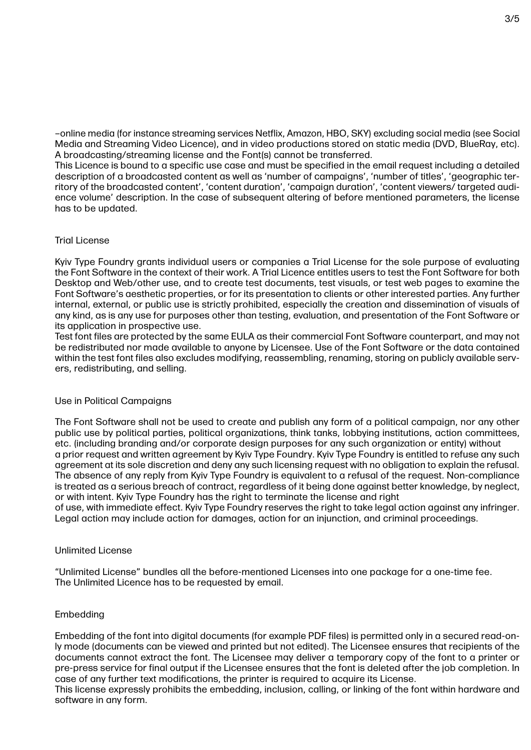–online media (for instance streaming services Netflix, Amazon, HBO, SKY) excluding social media (see Social Media and Streaming Video Licence), and in video productions stored on static media (DVD, BlueRay, etc). A broadcasting/streaming license and the Font(s) cannot be transferred.

This Licence is bound to a specific use case and must be specified in the email request including a detailed description of a broadcasted content as well as 'number of campaigns', 'number of titles', 'geographic territory of the broadcasted content', 'content duration', 'campaign duration', 'content viewers/ targeted audience volume' description. In the case of subsequent altering of before mentioned parameters, the license has to be updated.

# Trial License

Kyiv Type Foundry grants individual users or companies a Trial License for the sole purpose of evaluating the Font Software in the context of their work. A Trial Licence entitles users to test the Font Software for both Desktop and Web/other use, and to create test documents, test visuals, or test web pages to examine the Font Software's aesthetic properties, or for its presentation to clients or other interested parties. Any further internal, external, or public use is strictly prohibited, especially the creation and dissemination of visuals of any kind, as is any use for purposes other than testing, evaluation, and presentation of the Font Software or its application in prospective use.

Test font files are protected by the same EULA as their commercial Font Software counterpart, and may not be redistributed nor made available to anyone by Licensee. Use of the Font Software or the data contained within the test font files also excludes modifying, reassembling, renaming, storing on publicly available servers, redistributing, and selling.

# Use in Political Campaigns

The Font Software shall not be used to create and publish any form of a political campaign, nor any other public use by political parties, political organizations, think tanks, lobbying institutions, action committees, etc. (including branding and/or corporate design purposes for any such organization or entity) without a prior request and written agreement by Kyiv Type Foundry. Kyiv Type Foundry is entitled to refuse any such agreement at its sole discretion and deny any such licensing request with no obligation to explain the refusal. The absence of any reply from Kyiv Type Foundry is equivalent to a refusal of the request. Non-compliance is treated as a serious breach of contract, regardless of it being done against better knowledge, by neglect, or with intent. Kyiv Type Foundry has the right to terminate the license and right

of use, with immediate effect. Kyiv Type Foundry reserves the right to take legal action against any infringer. Legal action may include action for damages, action for an injunction, and criminal proceedings.

# Unlimited License

"Unlimited License" bundles all the before-mentioned Licenses into one package for a one-time fee. The Unlimited Licence has to be requested by email.

# Embedding

Embedding of the font into digital documents (for example PDF files) is permitted only in a secured read-only mode (documents can be viewed and printed but not edited). The Licensee ensures that recipients of the documents cannot extract the font. The Licensee may deliver a temporary copy of the font to a printer or pre-press service for final output if the Licensee ensures that the font is deleted after the job completion. In case of any further text modifications, the printer is required to acquire its License.

This license expressly prohibits the embedding, inclusion, calling, or linking of the font within hardware and software in any form.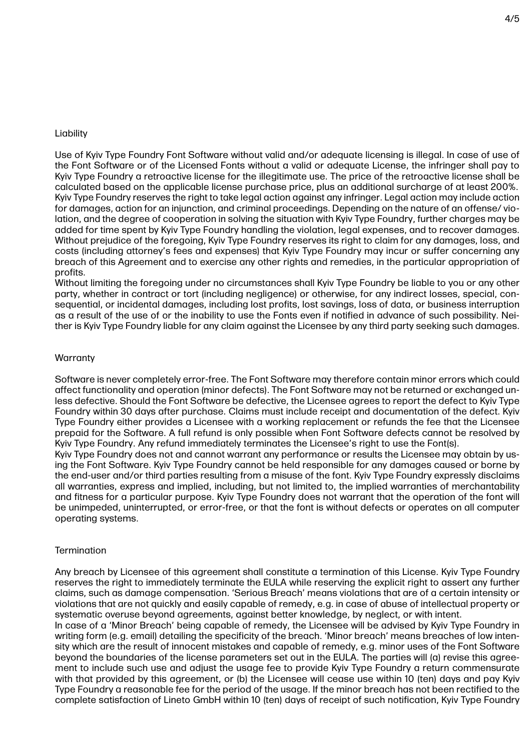### Liability

Use of Kyiv Type Foundry Font Software without valid and/or adequate licensing is illegal. In case of use of the Font Software or of the Licensed Fonts without a valid or adequate License, the infringer shall pay to Kyiv Type Foundry a retroactive license for the illegitimate use. The price of the retroactive license shall be calculated based on the applicable license purchase price, plus an additional surcharge of at least 200%. Kyiv Type Foundry reserves the right to take legal action against any infringer. Legal action may include action for damages, action for an injunction, and criminal proceedings. Depending on the nature of an offense/ violation, and the degree of cooperation in solving the situation with Kyiv Type Foundry, further charges may be added for time spent by Kyiv Type Foundry handling the violation, legal expenses, and to recover damages. Without prejudice of the foregoing, Kyiv Type Foundry reserves its right to claim for any damages, loss, and costs (including attorney's fees and expenses) that Kyiv Type Foundry may incur or suffer concerning any breach of this Agreement and to exercise any other rights and remedies, in the particular appropriation of profits.

Without limiting the foregoing under no circumstances shall Kyiv Type Foundry be liable to you or any other party, whether in contract or tort (including negligence) or otherwise, for any indirect losses, special, consequential, or incidental damages, including lost profits, lost savings, loss of data, or business interruption as a result of the use of or the inability to use the Fonts even if notified in advance of such possibility. Neither is Kyiv Type Foundry liable for any claim against the Licensee by any third party seeking such damages.

### **Warranty**

Software is never completely error-free. The Font Software may therefore contain minor errors which could affect functionality and operation (minor defects). The Font Software may not be returned or exchanged unless defective. Should the Font Software be defective, the Licensee agrees to report the defect to Kyiv Type Foundry within 30 days after purchase. Claims must include receipt and documentation of the defect. Kyiv Type Foundry either provides a Licensee with a working replacement or refunds the fee that the Licensee prepaid for the Software. A full refund is only possible when Font Software defects cannot be resolved by Kyiv Type Foundry. Any refund immediately terminates the Licensee's right to use the Font(s).

Kyiv Type Foundry does not and cannot warrant any performance or results the Licensee may obtain by using the Font Software. Kyiv Type Foundry cannot be held responsible for any damages caused or borne by the end-user and/or third parties resulting from a misuse of the font. Kyiv Type Foundry expressly disclaims all warranties, express and implied, including, but not limited to, the implied warranties of merchantability and fitness for a particular purpose. Kyiv Type Foundry does not warrant that the operation of the font will be unimpeded, uninterrupted, or error-free, or that the font is without defects or operates on all computer operating systems.

### **Termination**

Any breach by Licensee of this agreement shall constitute a termination of this License. Kyiv Type Foundry reserves the right to immediately terminate the EULA while reserving the explicit right to assert any further claims, such as damage compensation. 'Serious Breach' means violations that are of a certain intensity or violations that are not quickly and easily capable of remedy, e.g. in case of abuse of intellectual property or systematic overuse beyond agreements, against better knowledge, by neglect, or with intent.

In case of a 'Minor Breach' being capable of remedy, the Licensee will be advised by Kyiv Type Foundry in writing form (e.g. email) detailing the specificity of the breach. 'Minor breach' means breaches of low intensity which are the result of innocent mistakes and capable of remedy, e.g. minor uses of the Font Software beyond the boundaries of the license parameters set out in the EULA. The parties will (a) revise this agreement to include such use and adjust the usage fee to provide Kyiv Type Foundry a return commensurate with that provided by this agreement, or (b) the Licensee will cease use within 10 (ten) days and pay Kyiv Type Foundry a reasonable fee for the period of the usage. If the minor breach has not been rectified to the complete satisfaction of Lineto GmbH within 10 (ten) days of receipt of such notification, Kyiv Type Foundry